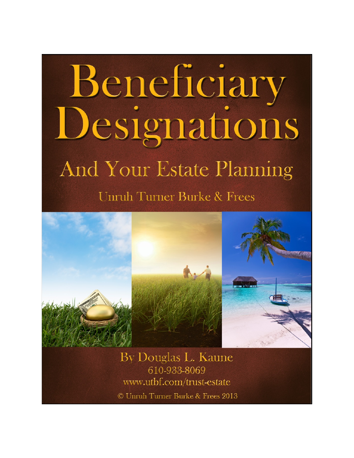# Beneficiary Designations And Your Estate Planning **Unruh Turner Burke & Frees**



By Douglas L. Kaune 610-933-8069 www.utbf.com/trust-estate

© Unruh Turner Burke & Frees 2013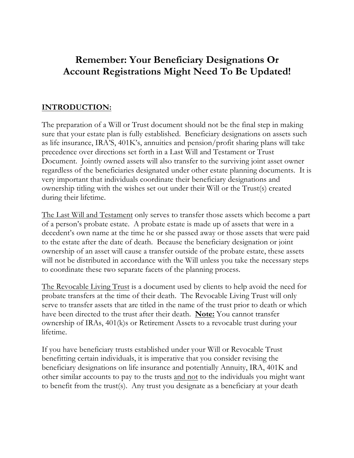## **Remember: Your Beneficiary Designations Or Account Registrations Might Need To Be Updated!**

#### **INTRODUCTION:**

The preparation of a Will or Trust document should not be the final step in making sure that your estate plan is fully established. Beneficiary designations on assets such as life insurance, IRA'S, 401K's, annuities and pension/profit sharing plans will take precedence over directions set forth in a Last Will and Testament or Trust Document. Jointly owned assets will also transfer to the surviving joint asset owner regardless of the beneficiaries designated under other estate planning documents. It is very important that individuals coordinate their beneficiary designations and ownership titling with the wishes set out under their Will or the Trust(s) created during their lifetime.

The Last Will and Testament only serves to transfer those assets which become a part of a person's probate estate. A probate estate is made up of assets that were in a decedent's own name at the time he or she passed away or those assets that were paid to the estate after the date of death. Because the beneficiary designation or joint ownership of an asset will cause a transfer outside of the probate estate, these assets will not be distributed in accordance with the Will unless you take the necessary steps to coordinate these two separate facets of the planning process.

The Revocable Living Trust is a document used by clients to help avoid the need for probate transfers at the time of their death. The Revocable Living Trust will only serve to transfer assets that are titled in the name of the trust prior to death or which have been directed to the trust after their death. **Note:** You cannot transfer ownership of IRAs, 401(k)s or Retirement Assets to a revocable trust during your lifetime.

If you have beneficiary trusts established under your Will or Revocable Trust benefitting certain individuals, it is imperative that you consider revising the beneficiary designations on life insurance and potentially Annuity, IRA, 401K and other similar accounts to pay to the trusts and not to the individuals you might want to benefit from the trust(s). Any trust you designate as a beneficiary at your death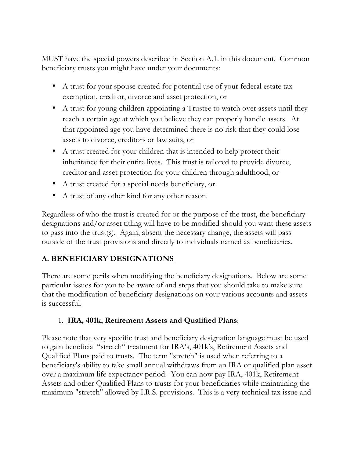MUST have the special powers described in Section A.1. in this document. Common beneficiary trusts you might have under your documents:

- A trust for your spouse created for potential use of your federal estate tax exemption, creditor, divorce and asset protection, or
- A trust for young children appointing a Trustee to watch over assets until they reach a certain age at which you believe they can properly handle assets. At that appointed age you have determined there is no risk that they could lose assets to divorce, creditors or law suits, or
- A trust created for your children that is intended to help protect their inheritance for their entire lives. This trust is tailored to provide divorce, creditor and asset protection for your children through adulthood, or
- A trust created for a special needs beneficiary, or
- A trust of any other kind for any other reason.

Regardless of who the trust is created for or the purpose of the trust, the beneficiary designations and/or asset titling will have to be modified should you want these assets to pass into the trust(s). Again, absent the necessary change, the assets will pass outside of the trust provisions and directly to individuals named as beneficiaries.

## **A. BENEFICIARY DESIGNATIONS**

There are some perils when modifying the beneficiary designations. Below are some particular issues for you to be aware of and steps that you should take to make sure that the modification of beneficiary designations on your various accounts and assets is successful.

#### 1. **IRA, 401k, Retirement Assets and Qualified Plans**:

Please note that very specific trust and beneficiary designation language must be used to gain beneficial "stretch" treatment for IRA's, 401k's, Retirement Assets and Qualified Plans paid to trusts. The term "stretch" is used when referring to a beneficiary's ability to take small annual withdraws from an IRA or qualified plan asset over a maximum life expectancy period. You can now pay IRA, 401k, Retirement Assets and other Qualified Plans to trusts for your beneficiaries while maintaining the maximum "stretch" allowed by I.R.S. provisions. This is a very technical tax issue and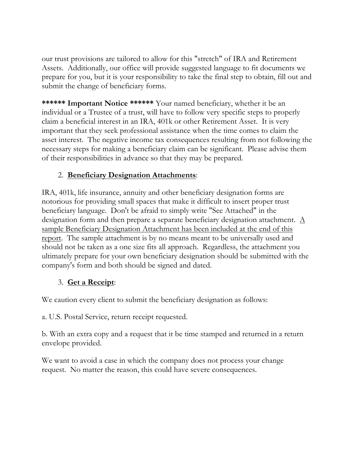our trust provisions are tailored to allow for this "stretch" of IRA and Retirement Assets. Additionally, our office will provide suggested language to fit documents we prepare for you, but it is your responsibility to take the final step to obtain, fill out and submit the change of beneficiary forms.

**\*\*\*\*\*\* Important Notice \*\*\*\*\*\*** Your named beneficiary, whether it be an individual or a Trustee of a trust, will have to follow very specific steps to properly claim a beneficial interest in an IRA, 401k or other Retirement Asset. It is very important that they seek professional assistance when the time comes to claim the asset interest. The negative income tax consequences resulting from not following the necessary steps for making a beneficiary claim can be significant. Please advise them of their responsibilities in advance so that they may be prepared.

## 2. **Beneficiary Designation Attachments**:

IRA, 401k, life insurance, annuity and other beneficiary designation forms are notorious for providing small spaces that make it difficult to insert proper trust beneficiary language. Don't be afraid to simply write "See Attached" in the designation form and then prepare a separate beneficiary designation attachment. A sample Beneficiary Designation Attachment has been included at the end of this report. The sample attachment is by no means meant to be universally used and should not be taken as a one size fits all approach. Regardless, the attachment you ultimately prepare for your own beneficiary designation should be submitted with the company's form and both should be signed and dated.

## 3. **Get a Receipt**:

We caution every client to submit the beneficiary designation as follows:

a. U.S. Postal Service, return receipt requested.

b. With an extra copy and a request that it be time stamped and returned in a return envelope provided.

We want to avoid a case in which the company does not process your change request. No matter the reason, this could have severe consequences.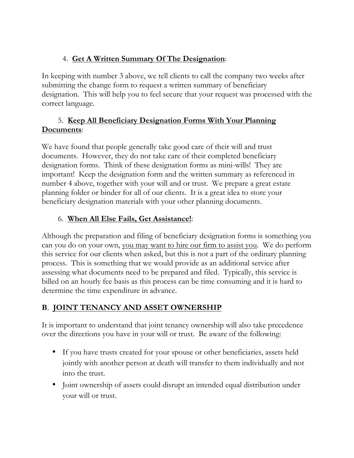## 4. **Get A Written Summary Of The Designation**:

In keeping with number 3 above, we tell clients to call the company two weeks after submitting the change form to request a written summary of beneficiary designation. This will help you to feel secure that your request was processed with the correct language.

#### 5. **Keep All Beneficiary Designation Forms With Your Planning Documents**:

We have found that people generally take good care of their will and trust documents. However, they do not take care of their completed beneficiary designation forms. Think of these designation forms as mini-wills! They are important! Keep the designation form and the written summary as referenced in number 4 above, together with your will and or trust. We prepare a great estate planning folder or binder for all of our clients. It is a great idea to store your beneficiary designation materials with your other planning documents.

## 6. **When All Else Fails, Get Assistance!**:

Although the preparation and filing of beneficiary designation forms is something you can you do on your own, you may want to hire our firm to assist you. We do perform this service for our clients when asked, but this is not a part of the ordinary planning process. This is something that we would provide as an additional service after assessing what documents need to be prepared and filed. Typically, this service is billed on an hourly fee basis as this process can be time consuming and it is hard to determine the time expenditure in advance.

## **B**. **JOINT TENANCY AND ASSET OWNERSHIP**

It is important to understand that joint tenancy ownership will also take precedence over the directions you have in your will or trust. Be aware of the following:

- If you have trusts created for your spouse or other beneficiaries, assets held jointly with another person at death will transfer to them individually and not into the trust.
- Joint ownership of assets could disrupt an intended equal distribution under your will or trust.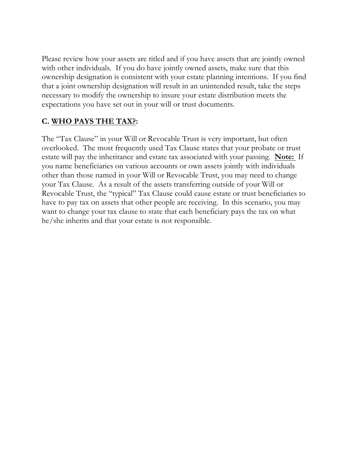Please review how your assets are titled and if you have assets that are jointly owned with other individuals. If you do have jointly owned assets, make sure that this ownership designation is consistent with your estate planning intentions. If you find that a joint ownership designation will result in an unintended result, take the steps necessary to modify the ownership to insure your estate distribution meets the expectations you have set out in your will or trust documents.

## **C. WHO PAYS THE TAX?:**

The "Tax Clause" in your Will or Revocable Trust is very important, but often overlooked. The most frequently used Tax Clause states that your probate or trust estate will pay the inheritance and estate tax associated with your passing. **Note:** If you name beneficiaries on various accounts or own assets jointly with individuals other than those named in your Will or Revocable Trust, you may need to change your Tax Clause. As a result of the assets transferring outside of your Will or Revocable Trust, the "typical" Tax Clause could cause estate or trust beneficiaries to have to pay tax on assets that other people are receiving. In this scenario, you may want to change your tax clause to state that each beneficiary pays the tax on what he/she inherits and that your estate is not responsible.